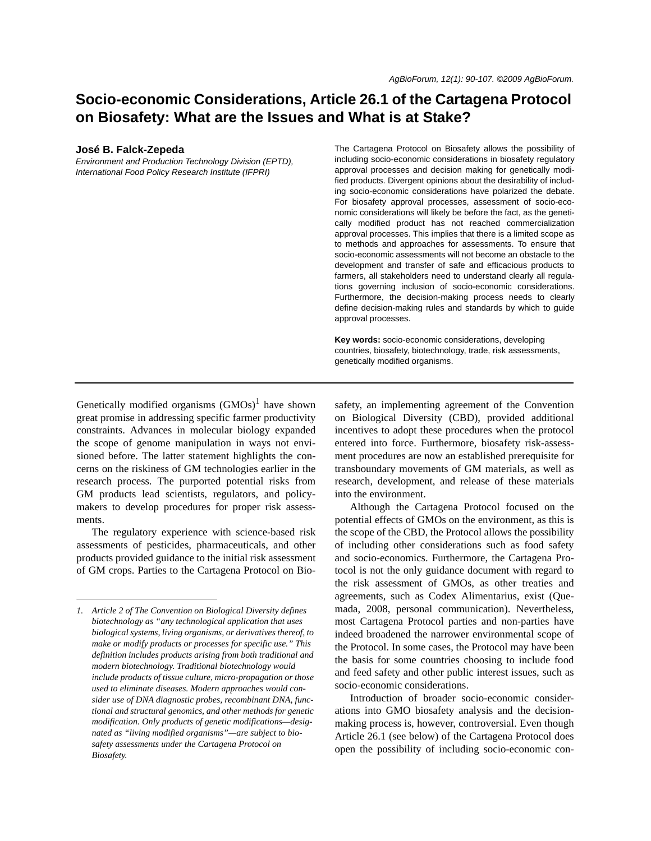# **Socio-economic Considerations, Article 26.1 of the Cartagena Protocol on Biosafety: What are the Issues and What is at Stake?**

#### **José B. Falck-Zepeda**

*Environment and Production Technology Division (EPTD), International Food Policy Research Institute (IFPRI)*

The Cartagena Protocol on Biosafety allows the possibility of including socio-economic considerations in biosafety regulatory approval processes and decision making for genetically modified products. Divergent opinions about the desirability of including socio-economic considerations have polarized the debate. For biosafety approval processes, assessment of socio-economic considerations will likely be before the fact, as the genetically modified product has not reached commercialization approval processes. This implies that there is a limited scope as to methods and approaches for assessments. To ensure that socio-economic assessments will not become an obstacle to the development and transfer of safe and efficacious products to farmers, all stakeholders need to understand clearly all regulations governing inclusion of socio-economic considerations. Furthermore, the decision-making process needs to clearly define decision-making rules and standards by which to guide approval processes.

**Key words:** socio-economic considerations, developing countries, biosafety, biotechnology, trade, risk assessments, genetically modified organisms.

Genetically modified organisms  $(GMOs)^{1}$  have shown great promise in addressing specific farmer productivity constraints. Advances in molecular biology expanded the scope of genome manipulation in ways not envisioned before. The latter statement highlights the concerns on the riskiness of GM technologies earlier in the research process. The purported potential risks from GM products lead scientists, regulators, and policymakers to develop procedures for proper risk assessments.

The regulatory experience with science-based risk assessments of pesticides, pharmaceuticals, and other products provided guidance to the initial risk assessment of GM crops. Parties to the Cartagena Protocol on Biosafety, an implementing agreement of the Convention on Biological Diversity (CBD), provided additional incentives to adopt these procedures when the protocol entered into force. Furthermore, biosafety risk-assessment procedures are now an established prerequisite for transboundary movements of GM materials, as well as research, development, and release of these materials into the environment.

Although the Cartagena Protocol focused on the potential effects of GMOs on the environment, as this is the scope of the CBD, the Protocol allows the possibility of including other considerations such as food safety and socio-economics. Furthermore, the Cartagena Protocol is not the only guidance document with regard to the risk assessment of GMOs, as other treaties and agreements, such as Codex Alimentarius, exist (Quemada, 2008, personal communication). Nevertheless, most Cartagena Protocol parties and non-parties have indeed broadened the narrower environmental scope of the Protocol. In some cases, the Protocol may have been the basis for some countries choosing to include food and feed safety and other public interest issues, such as socio-economic considerations.

Introduction of broader socio-economic considerations into GMO biosafety analysis and the decisionmaking process is, however, controversial. Even though Article 26.1 (see below) of the Cartagena Protocol does open the possibility of including socio-economic con-

*<sup>1.</sup> Article 2 of The Convention on Biological Diversity defines biotechnology as "any technological application that uses biological systems, living organisms, or derivatives thereof, to make or modify products or processes for specific use." This definition includes products arising from both traditional and modern biotechnology. Traditional biotechnology would include products of tissue culture, micro-propagation or those used to eliminate diseases. Modern approaches would consider use of DNA diagnostic probes, recombinant DNA, functional and structural genomics, and other methods for genetic modification. Only products of genetic modifications—designated as "living modified organisms"—are subject to biosafety assessments under the Cartagena Protocol on Biosafety.*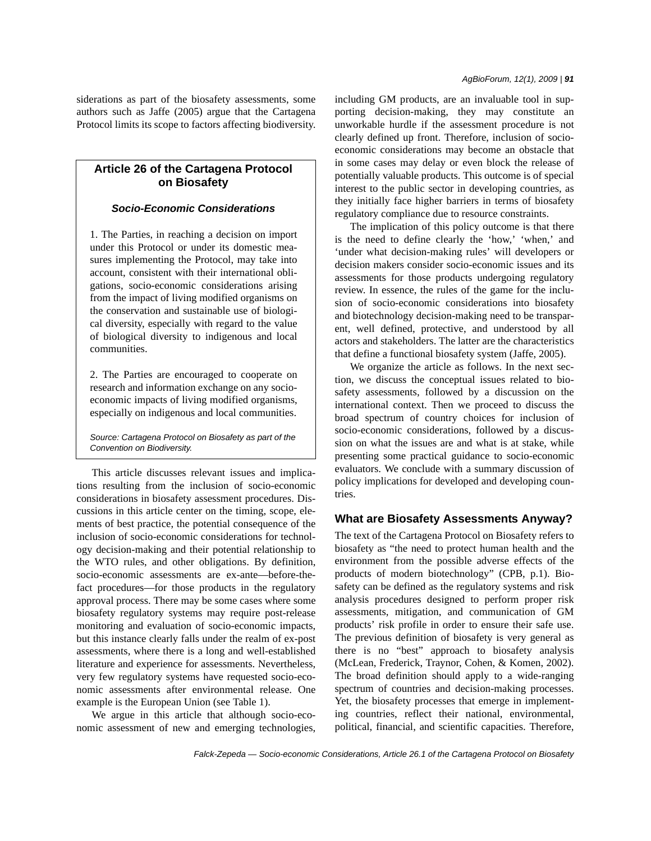siderations as part of the biosafety assessments, some authors such as Jaffe (2005) argue that the Cartagena Protocol limits its scope to factors affecting biodiversity.

## **Article 26 of the Cartagena Protocol on Biosafety**

#### *Socio-Economic Considerations*

1. The Parties, in reaching a decision on import under this Protocol or under its domestic measures implementing the Protocol, may take into account, consistent with their international obligations, socio-economic considerations arising from the impact of living modified organisms on the conservation and sustainable use of biological diversity, especially with regard to the value of biological diversity to indigenous and local communities.

2. The Parties are encouraged to cooperate on research and information exchange on any socioeconomic impacts of living modified organisms, especially on indigenous and local communities.

*Source: Cartagena Protocol on Biosafety as part of the Convention on Biodiversity.*

This article discusses relevant issues and implications resulting from the inclusion of socio-economic considerations in biosafety assessment procedures. Discussions in this article center on the timing, scope, elements of best practice, the potential consequence of the inclusion of socio-economic considerations for technology decision-making and their potential relationship to the WTO rules, and other obligations. By definition, socio-economic assessments are ex-ante—before-thefact procedures—for those products in the regulatory approval process. There may be some cases where some biosafety regulatory systems may require post-release monitoring and evaluation of socio-economic impacts, but this instance clearly falls under the realm of ex-post assessments, where there is a long and well-established literature and experience for assessments. Nevertheless, very few regulatory systems have requested socio-economic assessments after environmental release. One example is the European Union (see Table 1).

We argue in this article that although socio-economic assessment of new and emerging technologies, including GM products, are an invaluable tool in supporting decision-making, they may constitute an unworkable hurdle if the assessment procedure is not clearly defined up front. Therefore, inclusion of socioeconomic considerations may become an obstacle that in some cases may delay or even block the release of potentially valuable products. This outcome is of special interest to the public sector in developing countries, as they initially face higher barriers in terms of biosafety regulatory compliance due to resource constraints.

The implication of this policy outcome is that there is the need to define clearly the 'how,' 'when,' and 'under what decision-making rules' will developers or decision makers consider socio-economic issues and its assessments for those products undergoing regulatory review. In essence, the rules of the game for the inclusion of socio-economic considerations into biosafety and biotechnology decision-making need to be transparent, well defined, protective, and understood by all actors and stakeholders. The latter are the characteristics that define a functional biosafety system (Jaffe, 2005).

We organize the article as follows. In the next section, we discuss the conceptual issues related to biosafety assessments, followed by a discussion on the international context. Then we proceed to discuss the broad spectrum of country choices for inclusion of socio-economic considerations, followed by a discussion on what the issues are and what is at stake, while presenting some practical guidance to socio-economic evaluators. We conclude with a summary discussion of policy implications for developed and developing countries.

### **What are Biosafety Assessments Anyway?**

The text of the Cartagena Protocol on Biosafety refers to biosafety as "the need to protect human health and the environment from the possible adverse effects of the products of modern biotechnology" (CPB, p.1). Biosafety can be defined as the regulatory systems and risk analysis procedures designed to perform proper risk assessments, mitigation, and communication of GM products' risk profile in order to ensure their safe use. The previous definition of biosafety is very general as there is no "best" approach to biosafety analysis (McLean, Frederick, Traynor, Cohen, & Komen, 2002). The broad definition should apply to a wide-ranging spectrum of countries and decision-making processes. Yet, the biosafety processes that emerge in implementing countries, reflect their national, environmental, political, financial, and scientific capacities. Therefore,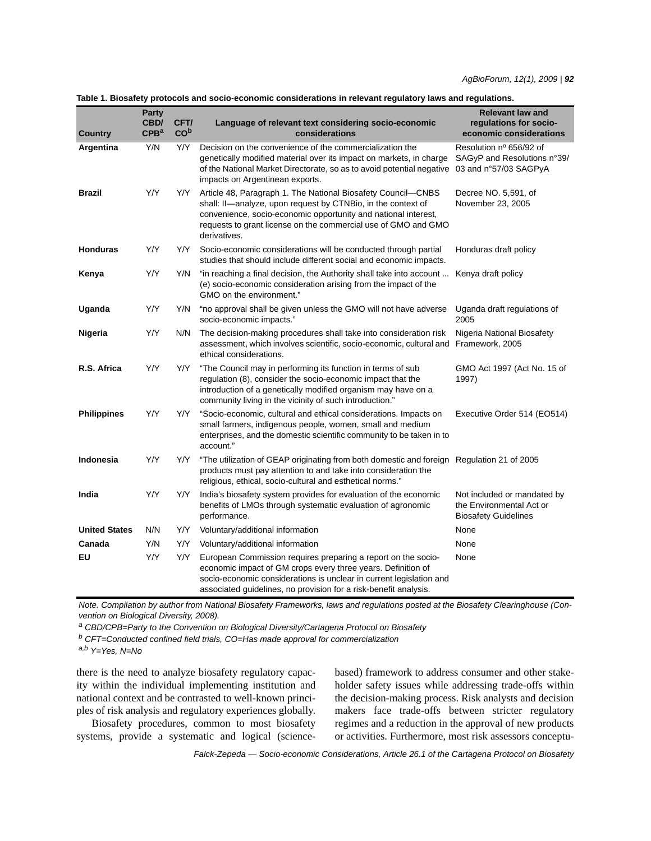*AgBioForum, 12(1), 2009 | 92*

| <b>Country</b>       | Party<br>CBD/<br>$\mathsf{CPB}^a$ | CFT/<br>CO <sup>b</sup> | Language of relevant text considering socio-economic<br>considerations                                                                                                                                                                                                           | <b>Relevant law and</b><br>regulations for socio-<br>economic considerations           |
|----------------------|-----------------------------------|-------------------------|----------------------------------------------------------------------------------------------------------------------------------------------------------------------------------------------------------------------------------------------------------------------------------|----------------------------------------------------------------------------------------|
| Argentina            | Y/N                               | Y/Y                     | Decision on the convenience of the commercialization the<br>genetically modified material over its impact on markets, in charge<br>of the National Market Directorate, so as to avoid potential negative<br>impacts on Argentinean exports.                                      | Resolution nº 656/92 of<br>SAGyP and Resolutions n°39/<br>03 and n°57/03 SAGPyA        |
| <b>Brazil</b>        | Y/Y                               | Y/Y                     | Article 48, Paragraph 1. The National Biosafety Council-CNBS<br>shall: II-analyze, upon request by CTNBio, in the context of<br>convenience, socio-economic opportunity and national interest,<br>requests to grant license on the commercial use of GMO and GMO<br>derivatives. | Decree NO. 5,591, of<br>November 23, 2005                                              |
| <b>Honduras</b>      | Y/Y                               | Y/Y                     | Socio-economic considerations will be conducted through partial<br>studies that should include different social and economic impacts.                                                                                                                                            | Honduras draft policy                                                                  |
| Kenya                | Y/Y                               | Y/N                     | "in reaching a final decision, the Authority shall take into account<br>(e) socio-economic consideration arising from the impact of the<br>GMO on the environment."                                                                                                              | Kenya draft policy                                                                     |
| Uganda               | Y/Y                               | Y/N                     | "no approval shall be given unless the GMO will not have adverse<br>socio-economic impacts."                                                                                                                                                                                     | Uganda draft regulations of<br>2005                                                    |
| Nigeria              | Y/Y                               | N/N                     | The decision-making procedures shall take into consideration risk<br>assessment, which involves scientific, socio-economic, cultural and<br>ethical considerations.                                                                                                              | Nigeria National Biosafety<br>Framework, 2005                                          |
| R.S. Africa          | Y/Y                               | Y/Y                     | "The Council may in performing its function in terms of sub<br>regulation (8), consider the socio-economic impact that the<br>introduction of a genetically modified organism may have on a<br>community living in the vicinity of such introduction."                           | GMO Act 1997 (Act No. 15 of<br>1997)                                                   |
| <b>Philippines</b>   | Y/Y                               | Y/Y                     | "Socio-economic, cultural and ethical considerations. Impacts on<br>small farmers, indigenous people, women, small and medium<br>enterprises, and the domestic scientific community to be taken in to<br>account."                                                               | Executive Order 514 (EO514)                                                            |
| <b>Indonesia</b>     | Y/Y                               | Y/Y                     | "The utilization of GEAP originating from both domestic and foreign Regulation 21 of 2005<br>products must pay attention to and take into consideration the<br>religious, ethical, socio-cultural and esthetical norms."                                                         |                                                                                        |
| India                | Y/Y                               | Y/Y                     | India's biosafety system provides for evaluation of the economic<br>benefits of LMOs through systematic evaluation of agronomic<br>performance.                                                                                                                                  | Not included or mandated by<br>the Environmental Act or<br><b>Biosafety Guidelines</b> |
| <b>United States</b> | N/N                               | Y/Y                     | Voluntary/additional information                                                                                                                                                                                                                                                 | None                                                                                   |
| Canada               | Y/N                               | Y/Y                     | Voluntary/additional information                                                                                                                                                                                                                                                 | None                                                                                   |
| EU                   | Y/Y                               | Y/Y                     | European Commission requires preparing a report on the socio-<br>economic impact of GM crops every three years. Definition of<br>socio-economic considerations is unclear in current legislation and<br>associated guidelines, no provision for a risk-benefit analysis.         | None                                                                                   |

**Table 1. Biosafety protocols and socio-economic considerations in relevant regulatory laws and regulations.**

*Note. Compilation by author from National Biosafety Frameworks, laws and regulations posted at the Biosafety Clearinghouse (Convention on Biological Diversity, 2008).*

*a CBD/CPB=Party to the Convention on Biological Diversity/Cartagena Protocol on Biosafety*

*b CFT=Conducted confined field trials, CO=Has made approval for commercialization*

*a,b Y=Yes, N=No*

there is the need to analyze biosafety regulatory capacity within the individual implementing institution and national context and be contrasted to well-known principles of risk analysis and regulatory experiences globally.

Biosafety procedures, common to most biosafety systems, provide a systematic and logical (sciencebased) framework to address consumer and other stakeholder safety issues while addressing trade-offs within the decision-making process. Risk analysts and decision makers face trade-offs between stricter regulatory regimes and a reduction in the approval of new products or activities. Furthermore, most risk assessors conceptu-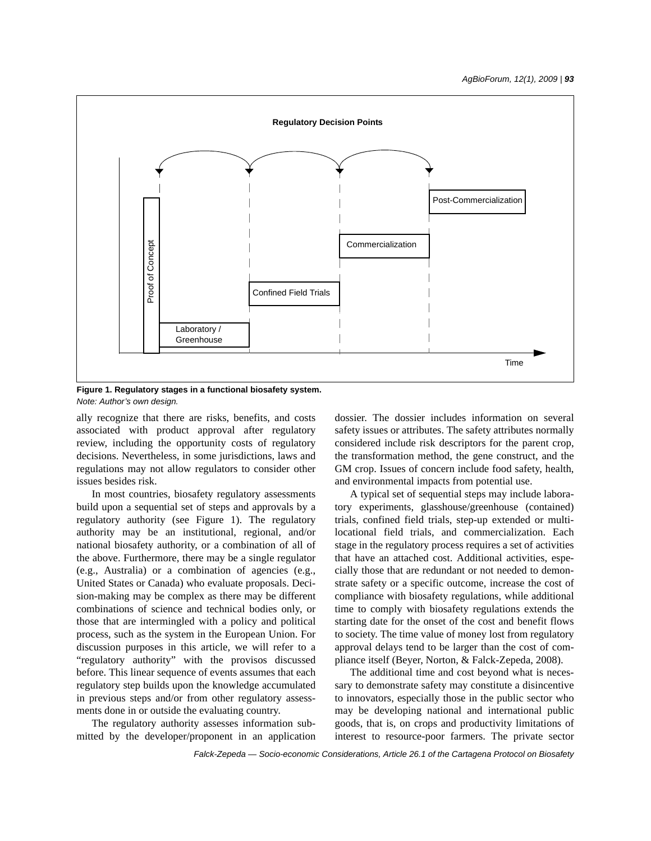

**Figure 1. Regulatory stages in a functional biosafety system.** *Note: Author's own design.*

ally recognize that there are risks, benefits, and costs associated with product approval after regulatory review, including the opportunity costs of regulatory decisions. Nevertheless, in some jurisdictions, laws and regulations may not allow regulators to consider other issues besides risk.

In most countries, biosafety regulatory assessments build upon a sequential set of steps and approvals by a regulatory authority (see Figure 1). The regulatory authority may be an institutional, regional, and/or national biosafety authority, or a combination of all of the above. Furthermore, there may be a single regulator (e.g., Australia) or a combination of agencies (e.g., United States or Canada) who evaluate proposals. Decision-making may be complex as there may be different combinations of science and technical bodies only, or those that are intermingled with a policy and political process, such as the system in the European Union. For discussion purposes in this article, we will refer to a "regulatory authority" with the provisos discussed before. This linear sequence of events assumes that each regulatory step builds upon the knowledge accumulated in previous steps and/or from other regulatory assessments done in or outside the evaluating country.

The regulatory authority assesses information submitted by the developer/proponent in an application dossier. The dossier includes information on several safety issues or attributes. The safety attributes normally considered include risk descriptors for the parent crop, the transformation method, the gene construct, and the GM crop. Issues of concern include food safety, health, and environmental impacts from potential use.

A typical set of sequential steps may include laboratory experiments, glasshouse/greenhouse (contained) trials, confined field trials, step-up extended or multilocational field trials, and commercialization. Each stage in the regulatory process requires a set of activities that have an attached cost. Additional activities, especially those that are redundant or not needed to demonstrate safety or a specific outcome, increase the cost of compliance with biosafety regulations, while additional time to comply with biosafety regulations extends the starting date for the onset of the cost and benefit flows to society. The time value of money lost from regulatory approval delays tend to be larger than the cost of compliance itself (Beyer, Norton, & Falck-Zepeda, 2008).

The additional time and cost beyond what is necessary to demonstrate safety may constitute a disincentive to innovators, especially those in the public sector who may be developing national and international public goods, that is, on crops and productivity limitations of interest to resource-poor farmers. The private sector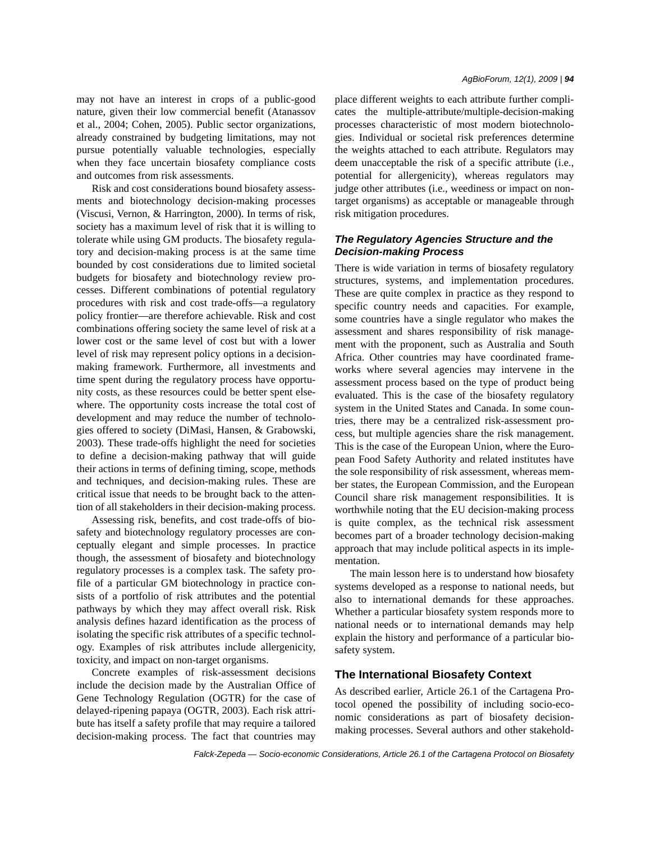may not have an interest in crops of a public-good nature, given their low commercial benefit (Atanassov et al., 2004; Cohen, 2005). Public sector organizations, already constrained by budgeting limitations, may not pursue potentially valuable technologies, especially when they face uncertain biosafety compliance costs and outcomes from risk assessments.

Risk and cost considerations bound biosafety assessments and biotechnology decision-making processes (Viscusi, Vernon, & Harrington, 2000). In terms of risk, society has a maximum level of risk that it is willing to tolerate while using GM products. The biosafety regulatory and decision-making process is at the same time bounded by cost considerations due to limited societal budgets for biosafety and biotechnology review processes. Different combinations of potential regulatory procedures with risk and cost trade-offs—a regulatory policy frontier—are therefore achievable. Risk and cost combinations offering society the same level of risk at a lower cost or the same level of cost but with a lower level of risk may represent policy options in a decisionmaking framework. Furthermore, all investments and time spent during the regulatory process have opportunity costs, as these resources could be better spent elsewhere. The opportunity costs increase the total cost of development and may reduce the number of technologies offered to society (DiMasi, Hansen, & Grabowski, 2003). These trade-offs highlight the need for societies to define a decision-making pathway that will guide their actions in terms of defining timing, scope, methods and techniques, and decision-making rules. These are critical issue that needs to be brought back to the attention of all stakeholders in their decision-making process.

Assessing risk, benefits, and cost trade-offs of biosafety and biotechnology regulatory processes are conceptually elegant and simple processes. In practice though, the assessment of biosafety and biotechnology regulatory processes is a complex task. The safety profile of a particular GM biotechnology in practice consists of a portfolio of risk attributes and the potential pathways by which they may affect overall risk. Risk analysis defines hazard identification as the process of isolating the specific risk attributes of a specific technology. Examples of risk attributes include allergenicity, toxicity, and impact on non-target organisms.

Concrete examples of risk-assessment decisions include the decision made by the Australian Office of Gene Technology Regulation (OGTR) for the case of delayed-ripening papaya (OGTR, 2003). Each risk attribute has itself a safety profile that may require a tailored decision-making process. The fact that countries may place different weights to each attribute further complicates the multiple-attribute/multiple-decision-making processes characteristic of most modern biotechnologies. Individual or societal risk preferences determine the weights attached to each attribute. Regulators may deem unacceptable the risk of a specific attribute (i.e., potential for allergenicity), whereas regulators may judge other attributes (i.e., weediness or impact on nontarget organisms) as acceptable or manageable through risk mitigation procedures.

### *The Regulatory Agencies Structure and the Decision-making Process*

There is wide variation in terms of biosafety regulatory structures, systems, and implementation procedures. These are quite complex in practice as they respond to specific country needs and capacities. For example, some countries have a single regulator who makes the assessment and shares responsibility of risk management with the proponent, such as Australia and South Africa. Other countries may have coordinated frameworks where several agencies may intervene in the assessment process based on the type of product being evaluated. This is the case of the biosafety regulatory system in the United States and Canada. In some countries, there may be a centralized risk-assessment process, but multiple agencies share the risk management. This is the case of the European Union, where the European Food Safety Authority and related institutes have the sole responsibility of risk assessment, whereas member states, the European Commission, and the European Council share risk management responsibilities. It is worthwhile noting that the EU decision-making process is quite complex, as the technical risk assessment becomes part of a broader technology decision-making approach that may include political aspects in its implementation.

The main lesson here is to understand how biosafety systems developed as a response to national needs, but also to international demands for these approaches. Whether a particular biosafety system responds more to national needs or to international demands may help explain the history and performance of a particular biosafety system.

#### **The International Biosafety Context**

As described earlier, Article 26.1 of the Cartagena Protocol opened the possibility of including socio-economic considerations as part of biosafety decisionmaking processes. Several authors and other stakehold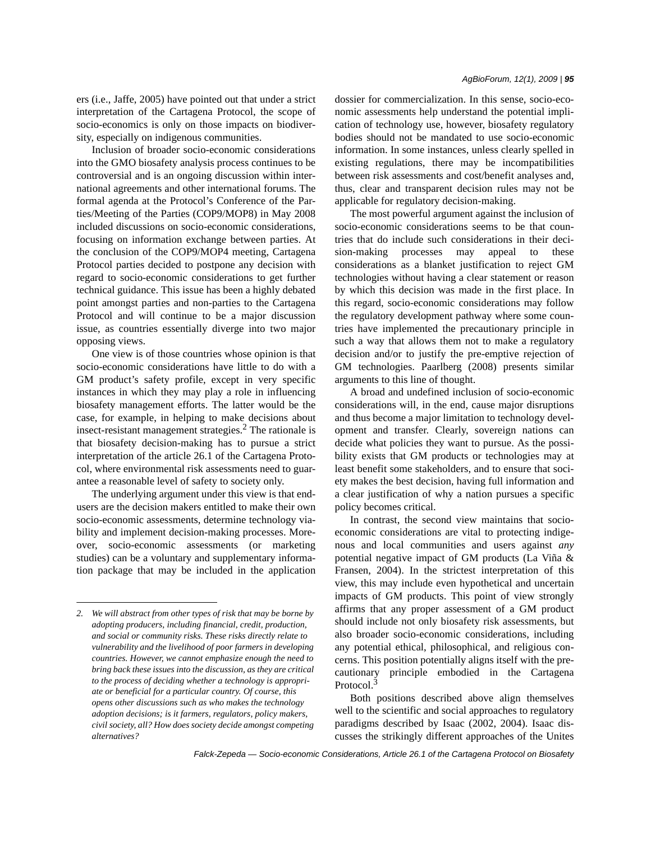ers (i.e., Jaffe, 2005) have pointed out that under a strict interpretation of the Cartagena Protocol, the scope of socio-economics is only on those impacts on biodiversity, especially on indigenous communities.

Inclusion of broader socio-economic considerations into the GMO biosafety analysis process continues to be controversial and is an ongoing discussion within international agreements and other international forums. The formal agenda at the Protocol's Conference of the Parties/Meeting of the Parties (COP9/MOP8) in May 2008 included discussions on socio-economic considerations, focusing on information exchange between parties. At the conclusion of the COP9/MOP4 meeting, Cartagena Protocol parties decided to postpone any decision with regard to socio-economic considerations to get further technical guidance. This issue has been a highly debated point amongst parties and non-parties to the Cartagena Protocol and will continue to be a major discussion issue, as countries essentially diverge into two major opposing views.

One view is of those countries whose opinion is that socio-economic considerations have little to do with a GM product's safety profile, except in very specific instances in which they may play a role in influencing biosafety management efforts. The latter would be the case, for example, in helping to make decisions about insect-resistant management strategies. $<sup>2</sup>$  The rationale is</sup> that biosafety decision-making has to pursue a strict interpretation of the article 26.1 of the Cartagena Protocol, where environmental risk assessments need to guarantee a reasonable level of safety to society only.

The underlying argument under this view is that endusers are the decision makers entitled to make their own socio-economic assessments, determine technology viability and implement decision-making processes. Moreover, socio-economic assessments (or marketing studies) can be a voluntary and supplementary information package that may be included in the application dossier for commercialization. In this sense, socio-economic assessments help understand the potential implication of technology use, however, biosafety regulatory bodies should not be mandated to use socio-economic information. In some instances, unless clearly spelled in existing regulations, there may be incompatibilities between risk assessments and cost/benefit analyses and, thus, clear and transparent decision rules may not be applicable for regulatory decision-making.

The most powerful argument against the inclusion of socio-economic considerations seems to be that countries that do include such considerations in their decision-making processes may appeal to these considerations as a blanket justification to reject GM technologies without having a clear statement or reason by which this decision was made in the first place. In this regard, socio-economic considerations may follow the regulatory development pathway where some countries have implemented the precautionary principle in such a way that allows them not to make a regulatory decision and/or to justify the pre-emptive rejection of GM technologies. Paarlberg (2008) presents similar arguments to this line of thought.

A broad and undefined inclusion of socio-economic considerations will, in the end, cause major disruptions and thus become a major limitation to technology development and transfer. Clearly, sovereign nations can decide what policies they want to pursue. As the possibility exists that GM products or technologies may at least benefit some stakeholders, and to ensure that society makes the best decision, having full information and a clear justification of why a nation pursues a specific policy becomes critical.

In contrast, the second view maintains that socioeconomic considerations are vital to protecting indigenous and local communities and users against *any* potential negative impact of GM products (La Viña & Fransen, 2004). In the strictest interpretation of this view, this may include even hypothetical and uncertain impacts of GM products. This point of view strongly affirms that any proper assessment of a GM product should include not only biosafety risk assessments, but also broader socio-economic considerations, including any potential ethical, philosophical, and religious concerns. This position potentially aligns itself with the precautionary principle embodied in the Cartagena Protocol.<sup>3</sup>

Both positions described above align themselves well to the scientific and social approaches to regulatory paradigms described by Isaac (2002, 2004). Isaac discusses the strikingly different approaches of the Unites

*<sup>2.</sup> We will abstract from other types of risk that may be borne by adopting producers, including financial, credit, production, and social or community risks. These risks directly relate to vulnerability and the livelihood of poor farmers in developing countries. However, we cannot emphasize enough the need to bring back these issues into the discussion, as they are critical to the process of deciding whether a technology is appropriate or beneficial for a particular country. Of course, this opens other discussions such as who makes the technology adoption decisions; is it farmers, regulators, policy makers, civil society, all? How does society decide amongst competing alternatives?*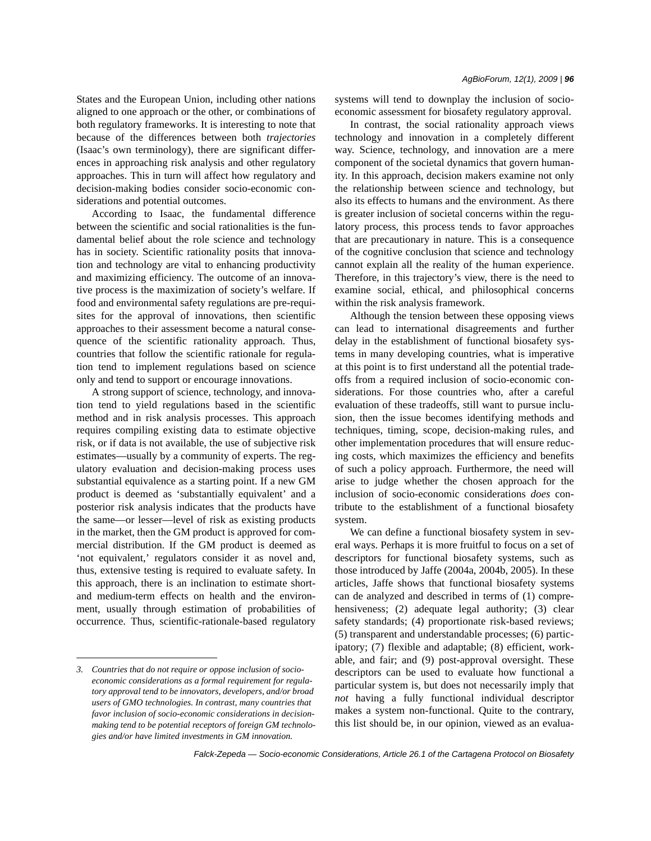States and the European Union, including other nations aligned to one approach or the other, or combinations of both regulatory frameworks. It is interesting to note that because of the differences between both *trajectories* (Isaac's own terminology), there are significant differences in approaching risk analysis and other regulatory approaches. This in turn will affect how regulatory and decision-making bodies consider socio-economic considerations and potential outcomes.

According to Isaac, the fundamental difference between the scientific and social rationalities is the fundamental belief about the role science and technology has in society. Scientific rationality posits that innovation and technology are vital to enhancing productivity and maximizing efficiency. The outcome of an innovative process is the maximization of society's welfare. If food and environmental safety regulations are pre-requisites for the approval of innovations, then scientific approaches to their assessment become a natural consequence of the scientific rationality approach. Thus, countries that follow the scientific rationale for regulation tend to implement regulations based on science only and tend to support or encourage innovations.

A strong support of science, technology, and innovation tend to yield regulations based in the scientific method and in risk analysis processes. This approach requires compiling existing data to estimate objective risk, or if data is not available, the use of subjective risk estimates—usually by a community of experts. The regulatory evaluation and decision-making process uses substantial equivalence as a starting point. If a new GM product is deemed as 'substantially equivalent' and a posterior risk analysis indicates that the products have the same—or lesser—level of risk as existing products in the market, then the GM product is approved for commercial distribution. If the GM product is deemed as 'not equivalent,' regulators consider it as novel and, thus, extensive testing is required to evaluate safety. In this approach, there is an inclination to estimate shortand medium-term effects on health and the environment, usually through estimation of probabilities of occurrence. Thus, scientific-rationale-based regulatory systems will tend to downplay the inclusion of socioeconomic assessment for biosafety regulatory approval.

In contrast, the social rationality approach views technology and innovation in a completely different way. Science, technology, and innovation are a mere component of the societal dynamics that govern humanity. In this approach, decision makers examine not only the relationship between science and technology, but also its effects to humans and the environment. As there is greater inclusion of societal concerns within the regulatory process, this process tends to favor approaches that are precautionary in nature. This is a consequence of the cognitive conclusion that science and technology cannot explain all the reality of the human experience. Therefore, in this trajectory's view, there is the need to examine social, ethical, and philosophical concerns within the risk analysis framework.

Although the tension between these opposing views can lead to international disagreements and further delay in the establishment of functional biosafety systems in many developing countries, what is imperative at this point is to first understand all the potential tradeoffs from a required inclusion of socio-economic considerations. For those countries who, after a careful evaluation of these tradeoffs, still want to pursue inclusion, then the issue becomes identifying methods and techniques, timing, scope, decision-making rules, and other implementation procedures that will ensure reducing costs, which maximizes the efficiency and benefits of such a policy approach. Furthermore, the need will arise to judge whether the chosen approach for the inclusion of socio-economic considerations *does* contribute to the establishment of a functional biosafety system.

We can define a functional biosafety system in several ways. Perhaps it is more fruitful to focus on a set of descriptors for functional biosafety systems, such as those introduced by Jaffe (2004a, 2004b, 2005). In these articles, Jaffe shows that functional biosafety systems can de analyzed and described in terms of (1) comprehensiveness; (2) adequate legal authority; (3) clear safety standards; (4) proportionate risk-based reviews; (5) transparent and understandable processes; (6) participatory; (7) flexible and adaptable; (8) efficient, workable, and fair; and (9) post-approval oversight. These descriptors can be used to evaluate how functional a particular system is, but does not necessarily imply that *not* having a fully functional individual descriptor makes a system non-functional. Quite to the contrary, this list should be, in our opinion, viewed as an evalua-

*<sup>3.</sup> Countries that do not require or oppose inclusion of socioeconomic considerations as a formal requirement for regulatory approval tend to be innovators, developers, and/or broad users of GMO technologies. In contrast, many countries that favor inclusion of socio-economic considerations in decisionmaking tend to be potential receptors of foreign GM technologies and/or have limited investments in GM innovation.*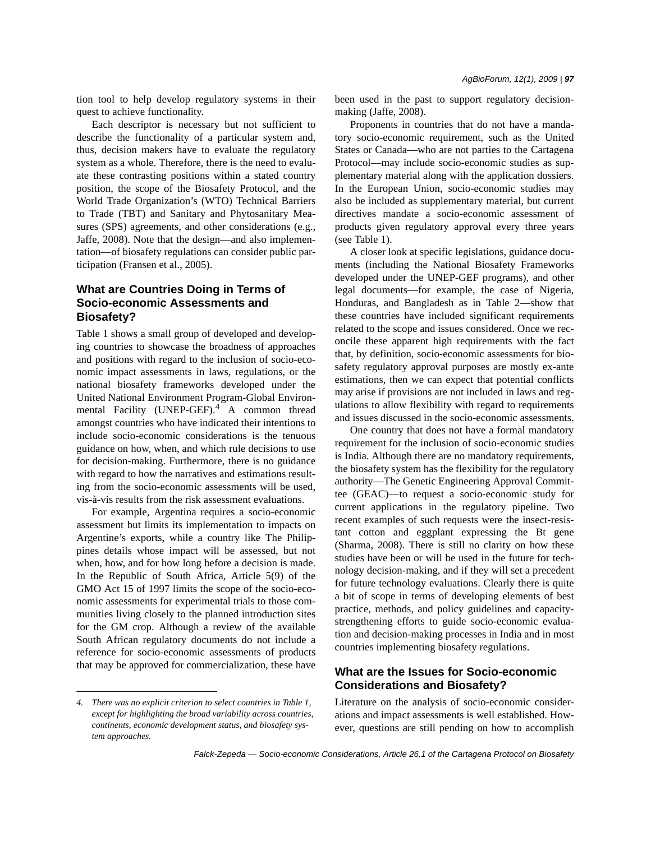tion tool to help develop regulatory systems in their quest to achieve functionality.

Each descriptor is necessary but not sufficient to describe the functionality of a particular system and, thus, decision makers have to evaluate the regulatory system as a whole. Therefore, there is the need to evaluate these contrasting positions within a stated country position, the scope of the Biosafety Protocol, and the World Trade Organization's (WTO) Technical Barriers to Trade (TBT) and Sanitary and Phytosanitary Measures (SPS) agreements, and other considerations (e.g., Jaffe, 2008). Note that the design—and also implementation—of biosafety regulations can consider public participation (Fransen et al., 2005).

## **What are Countries Doing in Terms of Socio-economic Assessments and Biosafety?**

Table 1 shows a small group of developed and developing countries to showcase the broadness of approaches and positions with regard to the inclusion of socio-economic impact assessments in laws, regulations, or the national biosafety frameworks developed under the United National Environment Program-Global Environmental Facility (UNEP-GEF).<sup>4</sup> A common thread amongst countries who have indicated their intentions to include socio-economic considerations is the tenuous guidance on how, when, and which rule decisions to use for decision-making. Furthermore, there is no guidance with regard to how the narratives and estimations resulting from the socio-economic assessments will be used, vis-à-vis results from the risk assessment evaluations.

For example, Argentina requires a socio-economic assessment but limits its implementation to impacts on Argentine's exports, while a country like The Philippines details whose impact will be assessed, but not when, how, and for how long before a decision is made. In the Republic of South Africa, Article 5(9) of the GMO Act 15 of 1997 limits the scope of the socio-economic assessments for experimental trials to those communities living closely to the planned introduction sites for the GM crop. Although a review of the available South African regulatory documents do not include a reference for socio-economic assessments of products that may be approved for commercialization, these have been used in the past to support regulatory decisionmaking (Jaffe, 2008).

Proponents in countries that do not have a mandatory socio-economic requirement, such as the United States or Canada—who are not parties to the Cartagena Protocol—may include socio-economic studies as supplementary material along with the application dossiers. In the European Union, socio-economic studies may also be included as supplementary material, but current directives mandate a socio-economic assessment of products given regulatory approval every three years (see Table 1).

A closer look at specific legislations, guidance documents (including the National Biosafety Frameworks developed under the UNEP-GEF programs), and other legal documents—for example, the case of Nigeria, Honduras, and Bangladesh as in Table 2—show that these countries have included significant requirements related to the scope and issues considered. Once we reconcile these apparent high requirements with the fact that, by definition, socio-economic assessments for biosafety regulatory approval purposes are mostly ex-ante estimations, then we can expect that potential conflicts may arise if provisions are not included in laws and regulations to allow flexibility with regard to requirements and issues discussed in the socio-economic assessments.

One country that does not have a formal mandatory requirement for the inclusion of socio-economic studies is India. Although there are no mandatory requirements, the biosafety system has the flexibility for the regulatory authority—The Genetic Engineering Approval Committee (GEAC)—to request a socio-economic study for current applications in the regulatory pipeline. Two recent examples of such requests were the insect-resistant cotton and eggplant expressing the Bt gene (Sharma, 2008). There is still no clarity on how these studies have been or will be used in the future for technology decision-making, and if they will set a precedent for future technology evaluations. Clearly there is quite a bit of scope in terms of developing elements of best practice, methods, and policy guidelines and capacitystrengthening efforts to guide socio-economic evaluation and decision-making processes in India and in most countries implementing biosafety regulations.

# **What are the Issues for Socio-economic Considerations and Biosafety?**

Literature on the analysis of socio-economic considerations and impact assessments is well established. However, questions are still pending on how to accomplish

*<sup>4.</sup> There was no explicit criterion to select countries in Table 1, except for highlighting the broad variability across countries, continents, economic development status, and biosafety system approaches.*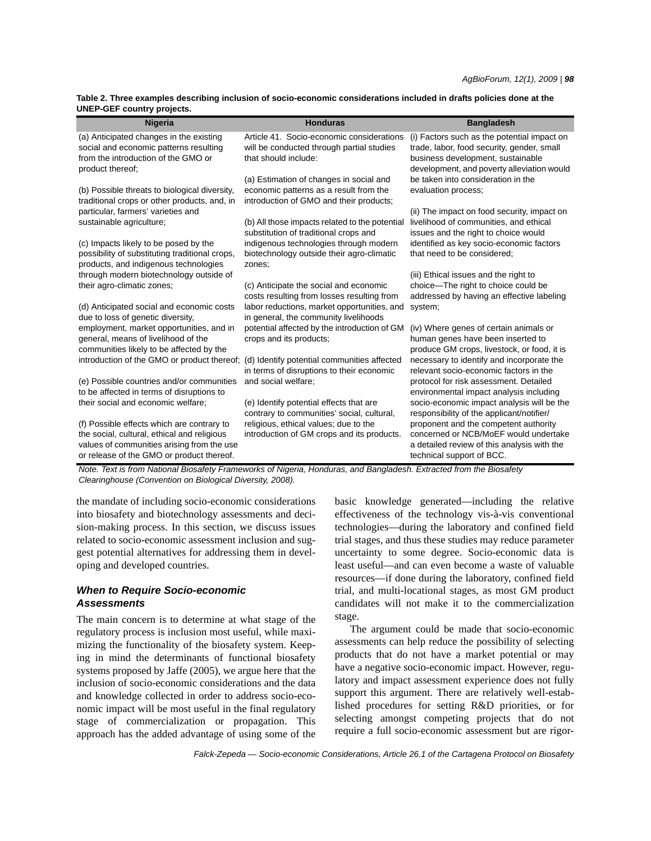|                                   | Table 2. Three examples describing inclusion of socio-economic considerations included in drafts policies done at the |  |  |
|-----------------------------------|-----------------------------------------------------------------------------------------------------------------------|--|--|
| <b>UNEP-GEF country projects.</b> |                                                                                                                       |  |  |

| <b>Nigeria</b>                                                                                                                                                                       | <b>Honduras</b>                                                                                                                    | <b>Bangladesh</b>                                                                                                                                                            |
|--------------------------------------------------------------------------------------------------------------------------------------------------------------------------------------|------------------------------------------------------------------------------------------------------------------------------------|------------------------------------------------------------------------------------------------------------------------------------------------------------------------------|
| (a) Anticipated changes in the existing<br>social and economic patterns resulting<br>from the introduction of the GMO or<br>product thereof;                                         | Article 41. Socio-economic considerations<br>will be conducted through partial studies<br>that should include:                     | (i) Factors such as the potential impact on<br>trade, labor, food security, gender, small<br>business development, sustainable<br>development, and poverty alleviation would |
| (b) Possible threats to biological diversity,<br>traditional crops or other products, and, in<br>particular, farmers' varieties and                                                  | (a) Estimation of changes in social and<br>economic patterns as a result from the<br>introduction of GMO and their products;       | be taken into consideration in the<br>evaluation process;<br>(ii) The impact on food security, impact on                                                                     |
| sustainable agriculture;                                                                                                                                                             | (b) All those impacts related to the potential<br>substitution of traditional crops and                                            | livelihood of communities, and ethical<br>issues and the right to choice would                                                                                               |
| (c) Impacts likely to be posed by the<br>possibility of substituting traditional crops,<br>products, and indigenous technologies                                                     | indigenous technologies through modern<br>biotechnology outside their agro-climatic<br>zones;                                      | identified as key socio-economic factors<br>that need to be considered;                                                                                                      |
| through modern biotechnology outside of<br>their agro-climatic zones;                                                                                                                | (c) Anticipate the social and economic                                                                                             | (iii) Ethical issues and the right to<br>choice-The right to choice could be                                                                                                 |
| (d) Anticipated social and economic costs<br>due to loss of genetic diversity,                                                                                                       | costs resulting from losses resulting from<br>labor reductions, market opportunities, and<br>in general, the community livelihoods | addressed by having an effective labeling<br>system;                                                                                                                         |
| employment, market opportunities, and in<br>general, means of livelihood of the<br>communities likely to be affected by the                                                          | potential affected by the introduction of GM<br>crops and its products;                                                            | (iv) Where genes of certain animals or<br>human genes have been inserted to<br>produce GM crops, livestock, or food, it is                                                   |
| introduction of the GMO or product thereof; (d) Identify potential communities affected                                                                                              | in terms of disruptions to their economic                                                                                          | necessary to identify and incorporate the<br>relevant socio-economic factors in the                                                                                          |
| (e) Possible countries and/or communities<br>to be affected in terms of disruptions to                                                                                               | and social welfare;                                                                                                                | protocol for risk assessment. Detailed<br>environmental impact analysis including                                                                                            |
| their social and economic welfare;                                                                                                                                                   | (e) Identify potential effects that are<br>contrary to communities' social, cultural,                                              | socio-economic impact analysis will be the<br>responsibility of the applicant/notifier/                                                                                      |
| (f) Possible effects which are contrary to<br>the social, cultural, ethical and religious<br>values of communities arising from the use<br>or release of the GMO or product thereof. | religious, ethical values; due to the<br>introduction of GM crops and its products.                                                | proponent and the competent authority<br>concerned or NCB/MoEF would undertake<br>a detailed review of this analysis with the<br>technical support of BCC.                   |
| Note Text is from National Biosafety Frameworks of Nigeria Honduras, and Bangladesh, Extracted from the Biosafety                                                                    |                                                                                                                                    |                                                                                                                                                                              |

*Note. Text is from National Biosafety Frameworks of Nigeria, Honduras, and Bangladesh. Extracted from the Biosafety Clearinghouse (Convention on Biological Diversity, 2008).*

the mandate of including socio-economic considerations into biosafety and biotechnology assessments and decision-making process. In this section, we discuss issues related to socio-economic assessment inclusion and suggest potential alternatives for addressing them in developing and developed countries.

#### *When to Require Socio-economic Assessments*

The main concern is to determine at what stage of the regulatory process is inclusion most useful, while maximizing the functionality of the biosafety system. Keeping in mind the determinants of functional biosafety systems proposed by Jaffe (2005), we argue here that the inclusion of socio-economic considerations and the data and knowledge collected in order to address socio-economic impact will be most useful in the final regulatory stage of commercialization or propagation. This approach has the added advantage of using some of the basic knowledge generated—including the relative effectiveness of the technology vis-à-vis conventional technologies—during the laboratory and confined field trial stages, and thus these studies may reduce parameter uncertainty to some degree. Socio-economic data is least useful—and can even become a waste of valuable resources—if done during the laboratory, confined field trial, and multi-locational stages, as most GM product candidates will not make it to the commercialization stage.

The argument could be made that socio-economic assessments can help reduce the possibility of selecting products that do not have a market potential or may have a negative socio-economic impact. However, regulatory and impact assessment experience does not fully support this argument. There are relatively well-established procedures for setting R&D priorities, or for selecting amongst competing projects that do not require a full socio-economic assessment but are rigor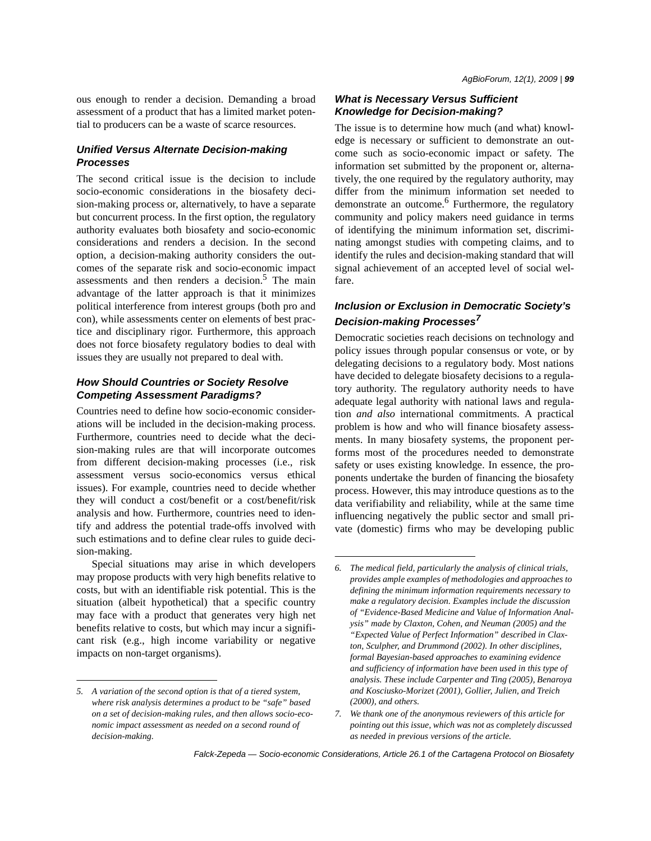ous enough to render a decision. Demanding a broad assessment of a product that has a limited market potential to producers can be a waste of scarce resources.

#### *Unified Versus Alternate Decision-making Processes*

The second critical issue is the decision to include socio-economic considerations in the biosafety decision-making process or, alternatively, to have a separate but concurrent process. In the first option, the regulatory authority evaluates both biosafety and socio-economic considerations and renders a decision. In the second option, a decision-making authority considers the outcomes of the separate risk and socio-economic impact assessments and then renders a decision.<sup>5</sup> The main advantage of the latter approach is that it minimizes political interference from interest groups (both pro and con), while assessments center on elements of best practice and disciplinary rigor. Furthermore, this approach does not force biosafety regulatory bodies to deal with issues they are usually not prepared to deal with.

#### *How Should Countries or Society Resolve Competing Assessment Paradigms?*

Countries need to define how socio-economic considerations will be included in the decision-making process. Furthermore, countries need to decide what the decision-making rules are that will incorporate outcomes from different decision-making processes (i.e., risk assessment versus socio-economics versus ethical issues). For example, countries need to decide whether they will conduct a cost/benefit or a cost/benefit/risk analysis and how. Furthermore, countries need to identify and address the potential trade-offs involved with such estimations and to define clear rules to guide decision-making.

Special situations may arise in which developers may propose products with very high benefits relative to costs, but with an identifiable risk potential. This is the situation (albeit hypothetical) that a specific country may face with a product that generates very high net benefits relative to costs, but which may incur a significant risk (e.g., high income variability or negative impacts on non-target organisms).

#### *What is Necessary Versus Sufficient Knowledge for Decision-making?*

The issue is to determine how much (and what) knowledge is necessary or sufficient to demonstrate an outcome such as socio-economic impact or safety. The information set submitted by the proponent or, alternatively, the one required by the regulatory authority, may differ from the minimum information set needed to demonstrate an outcome.<sup>6</sup> Furthermore, the regulatory community and policy makers need guidance in terms of identifying the minimum information set, discriminating amongst studies with competing claims, and to identify the rules and decision-making standard that will signal achievement of an accepted level of social welfare.

## *Inclusion or Exclusion in Democratic Society's Decision-making Processes<sup>7</sup>*

Democratic societies reach decisions on technology and policy issues through popular consensus or vote, or by delegating decisions to a regulatory body. Most nations have decided to delegate biosafety decisions to a regulatory authority. The regulatory authority needs to have adequate legal authority with national laws and regulation *and also* international commitments. A practical problem is how and who will finance biosafety assessments. In many biosafety systems, the proponent performs most of the procedures needed to demonstrate safety or uses existing knowledge. In essence, the proponents undertake the burden of financing the biosafety process. However, this may introduce questions as to the data verifiability and reliability, while at the same time influencing negatively the public sector and small private (domestic) firms who may be developing public

*<sup>5.</sup> A variation of the second option is that of a tiered system, where risk analysis determines a product to be "safe" based on a set of decision-making rules, and then allows socio-economic impact assessment as needed on a second round of decision-making.*

*<sup>6.</sup> The medical field, particularly the analysis of clinical trials, provides ample examples of methodologies and approaches to defining the minimum information requirements necessary to make a regulatory decision. Examples include the discussion of "Evidence-Based Medicine and Value of Information Analysis" made by Claxton, Cohen, and Neuman (2005) and the "Expected Value of Perfect Information" described in Claxton, Sculpher, and Drummond (2002). In other disciplines, formal Bayesian-based approaches to examining evidence and sufficiency of information have been used in this type of analysis. These include Carpenter and Ting (2005), Benaroya and Kosciusko-Morizet (2001), Gollier, Julien, and Treich (2000), and others.*

*<sup>7.</sup> We thank one of the anonymous reviewers of this article for pointing out this issue, which was not as completely discussed as needed in previous versions of the article.*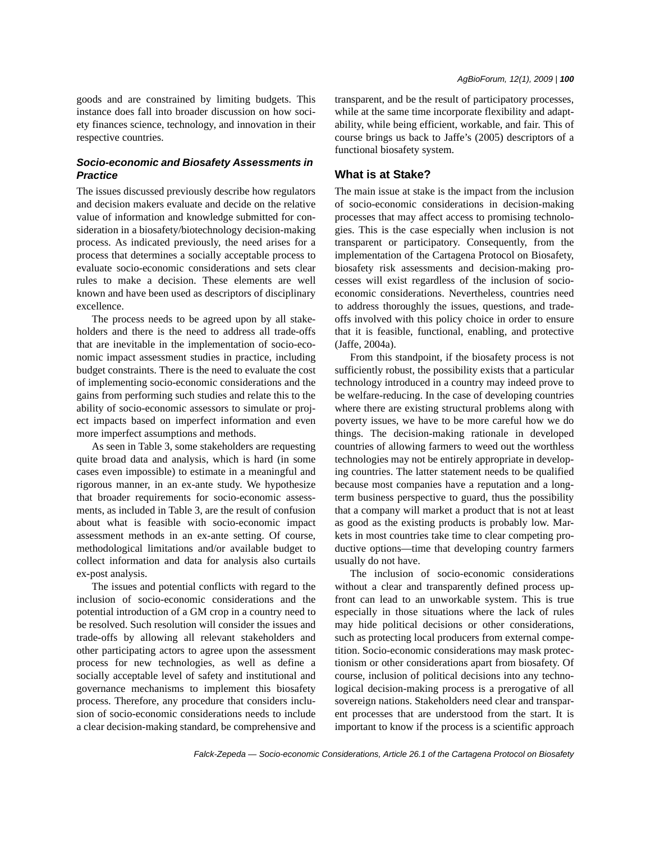goods and are constrained by limiting budgets. This instance does fall into broader discussion on how society finances science, technology, and innovation in their respective countries.

### *Socio-economic and Biosafety Assessments in Practice*

The issues discussed previously describe how regulators and decision makers evaluate and decide on the relative value of information and knowledge submitted for consideration in a biosafety/biotechnology decision-making process. As indicated previously, the need arises for a process that determines a socially acceptable process to evaluate socio-economic considerations and sets clear rules to make a decision. These elements are well known and have been used as descriptors of disciplinary excellence.

The process needs to be agreed upon by all stakeholders and there is the need to address all trade-offs that are inevitable in the implementation of socio-economic impact assessment studies in practice, including budget constraints. There is the need to evaluate the cost of implementing socio-economic considerations and the gains from performing such studies and relate this to the ability of socio-economic assessors to simulate or project impacts based on imperfect information and even more imperfect assumptions and methods.

As seen in Table 3, some stakeholders are requesting quite broad data and analysis, which is hard (in some cases even impossible) to estimate in a meaningful and rigorous manner, in an ex-ante study. We hypothesize that broader requirements for socio-economic assessments, as included in Table 3, are the result of confusion about what is feasible with socio-economic impact assessment methods in an ex-ante setting. Of course, methodological limitations and/or available budget to collect information and data for analysis also curtails ex-post analysis.

The issues and potential conflicts with regard to the inclusion of socio-economic considerations and the potential introduction of a GM crop in a country need to be resolved. Such resolution will consider the issues and trade-offs by allowing all relevant stakeholders and other participating actors to agree upon the assessment process for new technologies, as well as define a socially acceptable level of safety and institutional and governance mechanisms to implement this biosafety process. Therefore, any procedure that considers inclusion of socio-economic considerations needs to include a clear decision-making standard, be comprehensive and transparent, and be the result of participatory processes, while at the same time incorporate flexibility and adaptability, while being efficient, workable, and fair. This of course brings us back to Jaffe's (2005) descriptors of a functional biosafety system.

### **What is at Stake?**

The main issue at stake is the impact from the inclusion of socio-economic considerations in decision-making processes that may affect access to promising technologies. This is the case especially when inclusion is not transparent or participatory. Consequently, from the implementation of the Cartagena Protocol on Biosafety, biosafety risk assessments and decision-making processes will exist regardless of the inclusion of socioeconomic considerations. Nevertheless, countries need to address thoroughly the issues, questions, and tradeoffs involved with this policy choice in order to ensure that it is feasible, functional, enabling, and protective (Jaffe, 2004a).

From this standpoint, if the biosafety process is not sufficiently robust, the possibility exists that a particular technology introduced in a country may indeed prove to be welfare-reducing. In the case of developing countries where there are existing structural problems along with poverty issues, we have to be more careful how we do things. The decision-making rationale in developed countries of allowing farmers to weed out the worthless technologies may not be entirely appropriate in developing countries. The latter statement needs to be qualified because most companies have a reputation and a longterm business perspective to guard, thus the possibility that a company will market a product that is not at least as good as the existing products is probably low. Markets in most countries take time to clear competing productive options—time that developing country farmers usually do not have.

The inclusion of socio-economic considerations without a clear and transparently defined process upfront can lead to an unworkable system. This is true especially in those situations where the lack of rules may hide political decisions or other considerations, such as protecting local producers from external competition. Socio-economic considerations may mask protectionism or other considerations apart from biosafety. Of course, inclusion of political decisions into any technological decision-making process is a prerogative of all sovereign nations. Stakeholders need clear and transparent processes that are understood from the start. It is important to know if the process is a scientific approach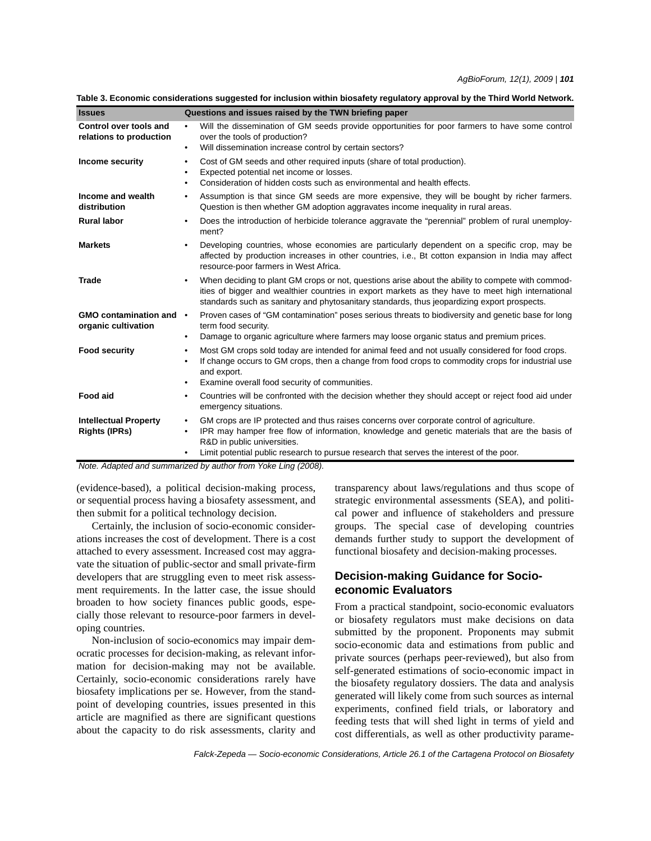| <b>Issues</b>                                        | Questions and issues raised by the TWN briefing paper                                                                                                                                                                                                                                                                                                         |
|------------------------------------------------------|---------------------------------------------------------------------------------------------------------------------------------------------------------------------------------------------------------------------------------------------------------------------------------------------------------------------------------------------------------------|
| Control over tools and<br>relations to production    | Will the dissemination of GM seeds provide opportunities for poor farmers to have some control<br>$\bullet$<br>over the tools of production?<br>Will dissemination increase control by certain sectors?<br>$\bullet$                                                                                                                                          |
| Income security                                      | Cost of GM seeds and other required inputs (share of total production).<br>$\bullet$<br>Expected potential net income or losses.<br>٠<br>Consideration of hidden costs such as environmental and health effects.<br>$\bullet$                                                                                                                                 |
| Income and wealth<br>distribution                    | Assumption is that since GM seeds are more expensive, they will be bought by richer farmers.<br>٠<br>Question is then whether GM adoption aggravates income inequality in rural areas.                                                                                                                                                                        |
| <b>Rural labor</b>                                   | Does the introduction of herbicide tolerance aggravate the "perennial" problem of rural unemploy-<br>٠<br>ment?                                                                                                                                                                                                                                               |
| <b>Markets</b>                                       | Developing countries, whose economies are particularly dependent on a specific crop, may be<br>$\bullet$<br>affected by production increases in other countries, i.e., Bt cotton expansion in India may affect<br>resource-poor farmers in West Africa.                                                                                                       |
| <b>Trade</b>                                         | When deciding to plant GM crops or not, questions arise about the ability to compete with commod-<br>$\bullet$<br>ities of bigger and wealthier countries in export markets as they have to meet high international<br>standards such as sanitary and phytosanitary standards, thus jeopardizing export prospects.                                            |
| <b>GMO contamination and</b><br>organic cultivation  | Proven cases of "GM contamination" poses serious threats to biodiversity and genetic base for long<br>$\bullet$<br>term food security.<br>Damage to organic agriculture where farmers may loose organic status and premium prices.<br>٠                                                                                                                       |
| <b>Food security</b>                                 | Most GM crops sold today are intended for animal feed and not usually considered for food crops.<br>$\bullet$<br>If change occurs to GM crops, then a change from food crops to commodity crops for industrial use<br>$\bullet$<br>and export.<br>Examine overall food security of communities.<br>٠                                                          |
| <b>Food aid</b>                                      | Countries will be confronted with the decision whether they should accept or reject food aid under<br>٠<br>emergency situations.                                                                                                                                                                                                                              |
| <b>Intellectual Property</b><br><b>Rights (IPRs)</b> | GM crops are IP protected and thus raises concerns over corporate control of agriculture.<br>$\bullet$<br>IPR may hamper free flow of information, knowledge and genetic materials that are the basis of<br>$\bullet$<br>R&D in public universities.<br>Limit potential public research to pursue research that serves the interest of the poor.<br>$\bullet$ |

*Note. Adapted and summarized by author from Yoke Ling (2008).*

(evidence-based), a political decision-making process, or sequential process having a biosafety assessment, and then submit for a political technology decision.

Certainly, the inclusion of socio-economic considerations increases the cost of development. There is a cost attached to every assessment. Increased cost may aggravate the situation of public-sector and small private-firm developers that are struggling even to meet risk assessment requirements. In the latter case, the issue should broaden to how society finances public goods, especially those relevant to resource-poor farmers in developing countries.

Non-inclusion of socio-economics may impair democratic processes for decision-making, as relevant information for decision-making may not be available. Certainly, socio-economic considerations rarely have biosafety implications per se. However, from the standpoint of developing countries, issues presented in this article are magnified as there are significant questions about the capacity to do risk assessments, clarity and transparency about laws/regulations and thus scope of strategic environmental assessments (SEA), and political power and influence of stakeholders and pressure groups. The special case of developing countries demands further study to support the development of functional biosafety and decision-making processes.

### **Decision-making Guidance for Socioeconomic Evaluators**

From a practical standpoint, socio-economic evaluators or biosafety regulators must make decisions on data submitted by the proponent. Proponents may submit socio-economic data and estimations from public and private sources (perhaps peer-reviewed), but also from self-generated estimations of socio-economic impact in the biosafety regulatory dossiers. The data and analysis generated will likely come from such sources as internal experiments, confined field trials, or laboratory and feeding tests that will shed light in terms of yield and cost differentials, as well as other productivity parame-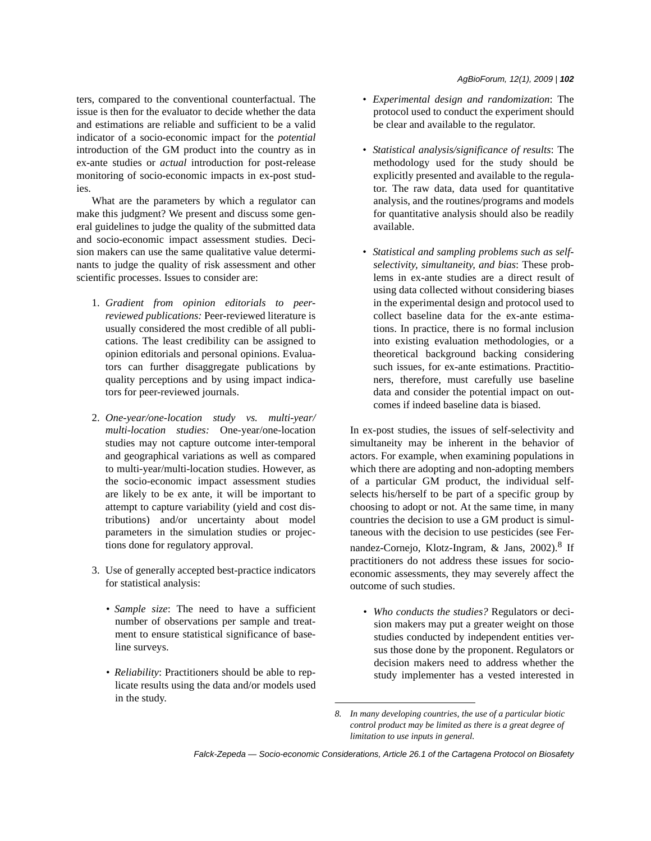ters, compared to the conventional counterfactual. The issue is then for the evaluator to decide whether the data and estimations are reliable and sufficient to be a valid indicator of a socio-economic impact for the *potential* introduction of the GM product into the country as in ex-ante studies or *actual* introduction for post-release monitoring of socio-economic impacts in ex-post studies.

What are the parameters by which a regulator can make this judgment? We present and discuss some general guidelines to judge the quality of the submitted data and socio-economic impact assessment studies. Decision makers can use the same qualitative value determinants to judge the quality of risk assessment and other scientific processes. Issues to consider are:

- 1. *Gradient from opinion editorials to peerreviewed publications:* Peer-reviewed literature is usually considered the most credible of all publications. The least credibility can be assigned to opinion editorials and personal opinions. Evaluators can further disaggregate publications by quality perceptions and by using impact indicators for peer-reviewed journals.
- 2. *One-year/one-location study vs. multi-year/ multi-location studies:* One-year/one-location studies may not capture outcome inter-temporal and geographical variations as well as compared to multi-year/multi-location studies. However, as the socio-economic impact assessment studies are likely to be ex ante, it will be important to attempt to capture variability (yield and cost distributions) and/or uncertainty about model parameters in the simulation studies or projections done for regulatory approval.
- 3. Use of generally accepted best-practice indicators for statistical analysis:
	- *Sample size*: The need to have a sufficient number of observations per sample and treatment to ensure statistical significance of baseline surveys.
	- *Reliability*: Practitioners should be able to replicate results using the data and/or models used in the study.
- *Experimental design and randomization*: The protocol used to conduct the experiment should be clear and available to the regulator.
- *Statistical analysis/significance of results*: The methodology used for the study should be explicitly presented and available to the regulator. The raw data, data used for quantitative analysis, and the routines/programs and models for quantitative analysis should also be readily available.
- *Statistical and sampling problems such as selfselectivity, simultaneity, and bias*: These problems in ex-ante studies are a direct result of using data collected without considering biases in the experimental design and protocol used to collect baseline data for the ex-ante estimations. In practice, there is no formal inclusion into existing evaluation methodologies, or a theoretical background backing considering such issues, for ex-ante estimations. Practitioners, therefore, must carefully use baseline data and consider the potential impact on outcomes if indeed baseline data is biased.

In ex-post studies, the issues of self-selectivity and simultaneity may be inherent in the behavior of actors. For example, when examining populations in which there are adopting and non-adopting members of a particular GM product, the individual selfselects his/herself to be part of a specific group by choosing to adopt or not. At the same time, in many countries the decision to use a GM product is simultaneous with the decision to use pesticides (see Fernandez-Cornejo, Klotz-Ingram, & Jans, 2002).<sup>8</sup> If practitioners do not address these issues for socioeconomic assessments, they may severely affect the outcome of such studies.

• *Who conducts the studies?* Regulators or decision makers may put a greater weight on those studies conducted by independent entities versus those done by the proponent. Regulators or decision makers need to address whether the study implementer has a vested interested in

*<sup>8.</sup> In many developing countries, the use of a particular biotic control product may be limited as there is a great degree of limitation to use inputs in general.*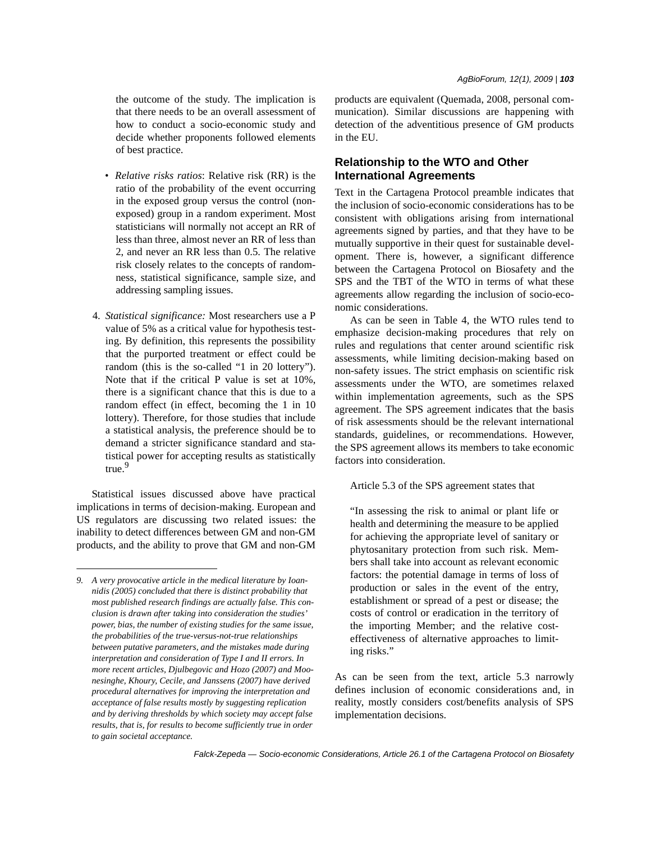- *Relative risks ratios*: Relative risk (RR) is the ratio of the probability of the event occurring in the exposed group versus the control (nonexposed) group in a random experiment. Most statisticians will normally not accept an RR of less than three, almost never an RR of less than 2, and never an RR less than 0.5. The relative risk closely relates to the concepts of randomness, statistical significance, sample size, and addressing sampling issues.
- 4. *Statistical significance:* Most researchers use a P value of 5% as a critical value for hypothesis testing. By definition, this represents the possibility that the purported treatment or effect could be random (this is the so-called "1 in 20 lottery"). Note that if the critical P value is set at 10%, there is a significant chance that this is due to a random effect (in effect, becoming the 1 in 10 lottery). Therefore, for those studies that include a statistical analysis, the preference should be to demand a stricter significance standard and statistical power for accepting results as statistically true.<sup>9</sup>

Statistical issues discussed above have practical implications in terms of decision-making. European and US regulators are discussing two related issues: the inability to detect differences between GM and non-GM products, and the ability to prove that GM and non-GM *AgBioForum, 12(1), 2009 | 103*

products are equivalent (Quemada, 2008, personal communication). Similar discussions are happening with detection of the adventitious presence of GM products in the EU.

# **Relationship to the WTO and Other International Agreements**

Text in the Cartagena Protocol preamble indicates that the inclusion of socio-economic considerations has to be consistent with obligations arising from international agreements signed by parties, and that they have to be mutually supportive in their quest for sustainable development. There is, however, a significant difference between the Cartagena Protocol on Biosafety and the SPS and the TBT of the WTO in terms of what these agreements allow regarding the inclusion of socio-economic considerations.

As can be seen in Table 4, the WTO rules tend to emphasize decision-making procedures that rely on rules and regulations that center around scientific risk assessments, while limiting decision-making based on non-safety issues. The strict emphasis on scientific risk assessments under the WTO, are sometimes relaxed within implementation agreements, such as the SPS agreement. The SPS agreement indicates that the basis of risk assessments should be the relevant international standards, guidelines, or recommendations. However, the SPS agreement allows its members to take economic factors into consideration.

#### Article 5.3 of the SPS agreement states that

"In assessing the risk to animal or plant life or health and determining the measure to be applied for achieving the appropriate level of sanitary or phytosanitary protection from such risk. Members shall take into account as relevant economic factors: the potential damage in terms of loss of production or sales in the event of the entry, establishment or spread of a pest or disease; the costs of control or eradication in the territory of the importing Member; and the relative costeffectiveness of alternative approaches to limiting risks."

As can be seen from the text, article 5.3 narrowly defines inclusion of economic considerations and, in reality, mostly considers cost/benefits analysis of SPS implementation decisions.

*<sup>9.</sup> A very provocative article in the medical literature by Ioannidis (2005) concluded that there is distinct probability that most published research findings are actually false. This conclusion is drawn after taking into consideration the studies' power, bias, the number of existing studies for the same issue, the probabilities of the true-versus-not-true relationships between putative parameters, and the mistakes made during interpretation and consideration of Type I and II errors. In more recent articles, Djulbegovic and Hozo (2007) and Moonesinghe, Khoury, Cecile, and Janssens (2007) have derived procedural alternatives for improving the interpretation and acceptance of false results mostly by suggesting replication and by deriving thresholds by which society may accept false results, that is, for results to become sufficiently true in order to gain societal acceptance.*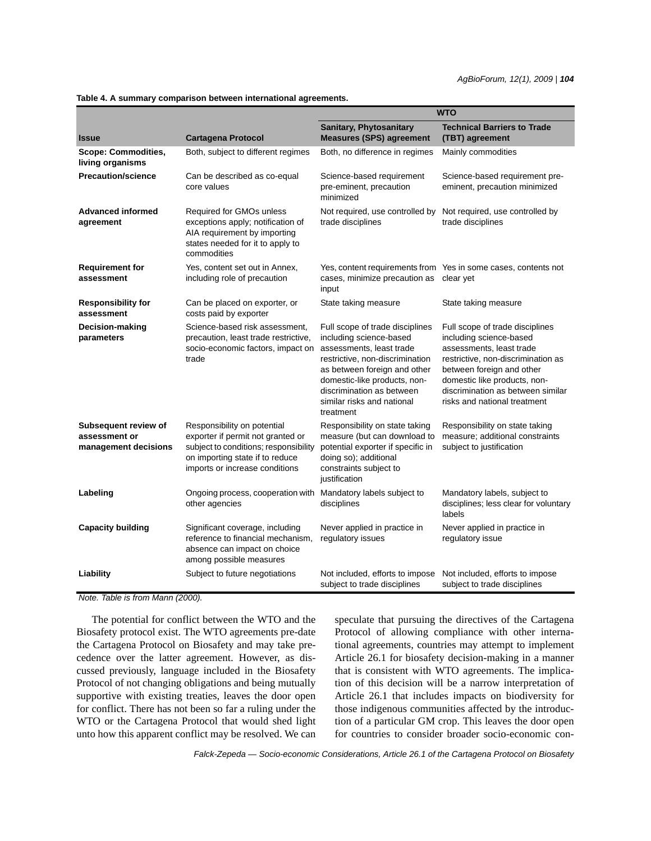**Table 4. A summary comparison between international agreements.**

|                                                               |                                                                                                                                                                                |                                                                                                                                                                                                                                                                   | <b>WTO</b>                                                                                                                                                                                                                                                     |
|---------------------------------------------------------------|--------------------------------------------------------------------------------------------------------------------------------------------------------------------------------|-------------------------------------------------------------------------------------------------------------------------------------------------------------------------------------------------------------------------------------------------------------------|----------------------------------------------------------------------------------------------------------------------------------------------------------------------------------------------------------------------------------------------------------------|
| <b>Issue</b>                                                  | <b>Cartagena Protocol</b>                                                                                                                                                      | Sanitary, Phytosanitary<br><b>Measures (SPS) agreement</b>                                                                                                                                                                                                        | <b>Technical Barriers to Trade</b><br>(TBT) agreement                                                                                                                                                                                                          |
| <b>Scope: Commodities,</b><br>living organisms                | Both, subject to different regimes                                                                                                                                             | Both, no difference in regimes                                                                                                                                                                                                                                    | Mainly commodities                                                                                                                                                                                                                                             |
| <b>Precaution/science</b>                                     | Can be described as co-equal<br>core values                                                                                                                                    | Science-based requirement<br>pre-eminent, precaution<br>minimized                                                                                                                                                                                                 | Science-based requirement pre-<br>eminent, precaution minimized                                                                                                                                                                                                |
| <b>Advanced informed</b><br>agreement                         | Required for GMOs unless<br>exceptions apply; notification of<br>AIA requirement by importing<br>states needed for it to apply to<br>commodities                               | Not required, use controlled by<br>trade disciplines                                                                                                                                                                                                              | Not required, use controlled by<br>trade disciplines                                                                                                                                                                                                           |
| <b>Requirement for</b><br>assessment                          | Yes, content set out in Annex,<br>including role of precaution                                                                                                                 | cases, minimize precaution as<br>input                                                                                                                                                                                                                            | Yes, content requirements from Yes in some cases, contents not<br>clear yet                                                                                                                                                                                    |
| <b>Responsibility for</b><br>assessment                       | Can be placed on exporter, or<br>costs paid by exporter                                                                                                                        | State taking measure                                                                                                                                                                                                                                              | State taking measure                                                                                                                                                                                                                                           |
| Decision-making<br>parameters                                 | Science-based risk assessment,<br>precaution, least trade restrictive,<br>socio-economic factors, impact on<br>trade                                                           | Full scope of trade disciplines<br>including science-based<br>assessments, least trade<br>restrictive, non-discrimination<br>as between foreign and other<br>domestic-like products, non-<br>discrimination as between<br>similar risks and national<br>treatment | Full scope of trade disciplines<br>including science-based<br>assessments, least trade<br>restrictive, non-discrimination as<br>between foreign and other<br>domestic like products, non-<br>discrimination as between similar<br>risks and national treatment |
| Subsequent review of<br>assessment or<br>management decisions | Responsibility on potential<br>exporter if permit not granted or<br>subject to conditions; responsibility<br>on importing state if to reduce<br>imports or increase conditions | Responsibility on state taking<br>measure (but can download to<br>potential exporter if specific in<br>doing so); additional<br>constraints subject to<br>justification                                                                                           | Responsibility on state taking<br>measure; additional constraints<br>subject to justification                                                                                                                                                                  |
| Labeling                                                      | Ongoing process, cooperation with<br>other agencies                                                                                                                            | Mandatory labels subject to<br>disciplines                                                                                                                                                                                                                        | Mandatory labels, subject to<br>disciplines; less clear for voluntary<br>labels                                                                                                                                                                                |
| <b>Capacity building</b>                                      | Significant coverage, including<br>reference to financial mechanism,<br>absence can impact on choice<br>among possible measures                                                | Never applied in practice in<br>regulatory issues                                                                                                                                                                                                                 | Never applied in practice in<br>regulatory issue                                                                                                                                                                                                               |
| Liability                                                     | Subject to future negotiations                                                                                                                                                 | Not included, efforts to impose<br>subject to trade disciplines                                                                                                                                                                                                   | Not included, efforts to impose<br>subject to trade disciplines                                                                                                                                                                                                |

*Note. Table is from Mann (2000).*

The potential for conflict between the WTO and the Biosafety protocol exist. The WTO agreements pre-date the Cartagena Protocol on Biosafety and may take precedence over the latter agreement. However, as discussed previously, language included in the Biosafety Protocol of not changing obligations and being mutually supportive with existing treaties, leaves the door open for conflict. There has not been so far a ruling under the WTO or the Cartagena Protocol that would shed light unto how this apparent conflict may be resolved. We can

speculate that pursuing the directives of the Cartagena Protocol of allowing compliance with other international agreements, countries may attempt to implement Article 26.1 for biosafety decision-making in a manner that is consistent with WTO agreements. The implication of this decision will be a narrow interpretation of Article 26.1 that includes impacts on biodiversity for those indigenous communities affected by the introduction of a particular GM crop. This leaves the door open for countries to consider broader socio-economic con-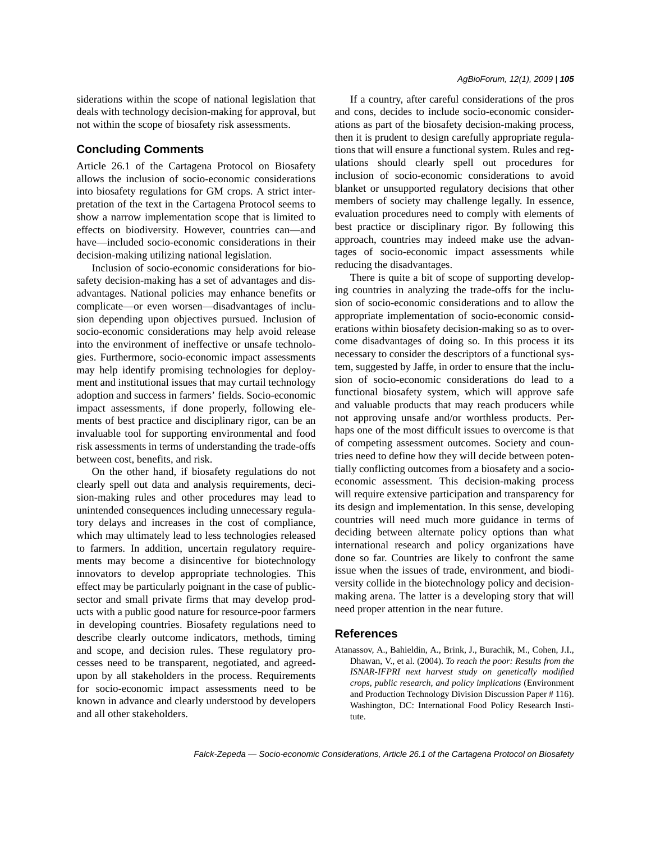siderations within the scope of national legislation that deals with technology decision-making for approval, but not within the scope of biosafety risk assessments.

### **Concluding Comments**

Article 26.1 of the Cartagena Protocol on Biosafety allows the inclusion of socio-economic considerations into biosafety regulations for GM crops. A strict interpretation of the text in the Cartagena Protocol seems to show a narrow implementation scope that is limited to effects on biodiversity. However, countries can—and have—included socio-economic considerations in their decision-making utilizing national legislation.

Inclusion of socio-economic considerations for biosafety decision-making has a set of advantages and disadvantages. National policies may enhance benefits or complicate—or even worsen—disadvantages of inclusion depending upon objectives pursued. Inclusion of socio-economic considerations may help avoid release into the environment of ineffective or unsafe technologies. Furthermore, socio-economic impact assessments may help identify promising technologies for deployment and institutional issues that may curtail technology adoption and success in farmers' fields. Socio-economic impact assessments, if done properly, following elements of best practice and disciplinary rigor, can be an invaluable tool for supporting environmental and food risk assessments in terms of understanding the trade-offs between cost, benefits, and risk.

On the other hand, if biosafety regulations do not clearly spell out data and analysis requirements, decision-making rules and other procedures may lead to unintended consequences including unnecessary regulatory delays and increases in the cost of compliance, which may ultimately lead to less technologies released to farmers. In addition, uncertain regulatory requirements may become a disincentive for biotechnology innovators to develop appropriate technologies. This effect may be particularly poignant in the case of publicsector and small private firms that may develop products with a public good nature for resource-poor farmers in developing countries. Biosafety regulations need to describe clearly outcome indicators, methods, timing and scope, and decision rules. These regulatory processes need to be transparent, negotiated, and agreedupon by all stakeholders in the process. Requirements for socio-economic impact assessments need to be known in advance and clearly understood by developers and all other stakeholders.

If a country, after careful considerations of the pros and cons, decides to include socio-economic considerations as part of the biosafety decision-making process, then it is prudent to design carefully appropriate regulations that will ensure a functional system. Rules and regulations should clearly spell out procedures for inclusion of socio-economic considerations to avoid blanket or unsupported regulatory decisions that other members of society may challenge legally. In essence, evaluation procedures need to comply with elements of best practice or disciplinary rigor. By following this approach, countries may indeed make use the advantages of socio-economic impact assessments while reducing the disadvantages.

There is quite a bit of scope of supporting developing countries in analyzing the trade-offs for the inclusion of socio-economic considerations and to allow the appropriate implementation of socio-economic considerations within biosafety decision-making so as to overcome disadvantages of doing so. In this process it its necessary to consider the descriptors of a functional system, suggested by Jaffe, in order to ensure that the inclusion of socio-economic considerations do lead to a functional biosafety system, which will approve safe and valuable products that may reach producers while not approving unsafe and/or worthless products. Perhaps one of the most difficult issues to overcome is that of competing assessment outcomes. Society and countries need to define how they will decide between potentially conflicting outcomes from a biosafety and a socioeconomic assessment. This decision-making process will require extensive participation and transparency for its design and implementation. In this sense, developing countries will need much more guidance in terms of deciding between alternate policy options than what international research and policy organizations have done so far. Countries are likely to confront the same issue when the issues of trade, environment, and biodiversity collide in the biotechnology policy and decisionmaking arena. The latter is a developing story that will need proper attention in the near future.

#### **References**

Atanassov, A., Bahieldin, A., Brink, J., Burachik, M., Cohen, J.I., Dhawan, V., et al. (2004). *To reach the poor: Results from the ISNAR-IFPRI next harvest study on genetically modified crops, public research, and policy implications* (Environment and Production Technology Division Discussion Paper # 116). Washington, DC: International Food Policy Research Institute.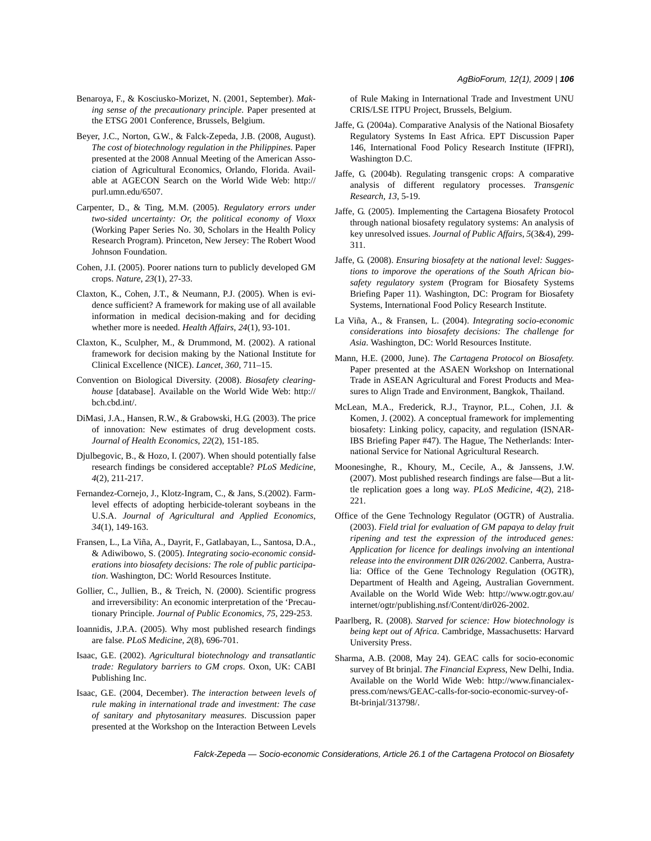- Benaroya, F., & Kosciusko-Morizet, N. (2001, September). *Making sense of the precautionary principle*. Paper presented at the ETSG 2001 Conference, Brussels, Belgium.
- Beyer, J.C., Norton, G.W., & Falck-Zepeda, J.B. (2008, August). *The cost of biotechnology regulation in the Philippines*. Paper presented at the 2008 Annual Meeting of the American Association of Agricultural Economics, Orlando, Florida. Available at AGECON Search on the World Wide Web: http:// purl.umn.edu/6507.
- Carpenter, D., & Ting, M.M. (2005). *Regulatory errors under two-sided uncertainty: Or, the political economy of Vioxx* (Working Paper Series No. 30, Scholars in the Health Policy Research Program). Princeton, New Jersey: The Robert Wood Johnson Foundation.
- Cohen, J.I. (2005). Poorer nations turn to publicly developed GM crops. *Nature*, *23*(1), 27-33.
- Claxton, K., Cohen, J.T., & Neumann, P.J. (2005). When is evidence sufficient? A framework for making use of all available information in medical decision-making and for deciding whether more is needed. *Health Affairs*, *24*(1), 93-101.
- Claxton, K., Sculpher, M., & Drummond, M. (2002). A rational framework for decision making by the National Institute for Clinical Excellence (NICE). *Lancet*, *360*, 711–15.
- Convention on Biological Diversity. (2008). *Biosafety clearinghouse* [database]. Available on the World Wide Web: http:// bch.cbd.int/.
- DiMasi, J.A., Hansen, R.W., & Grabowski, H.G. (2003). The price of innovation: New estimates of drug development costs. *Journal of Health Economics*, *22*(2), 151-185.
- Djulbegovic, B., & Hozo, I. (2007). When should potentially false research findings be considered acceptable? *PLoS Medicine*, *4*(2), 211-217.
- Fernandez-Cornejo, J., Klotz-Ingram, C., & Jans, S.(2002). Farmlevel effects of adopting herbicide-tolerant soybeans in the U.S.A. *Journal of Agricultural and Applied Economics*, *34*(1), 149-163.
- Fransen, L., La Viña, A., Dayrit, F., Gatlabayan, L., Santosa, D.A., & Adiwibowo, S. (2005). *Integrating socio-economic considerations into biosafety decisions: The role of public participation*. Washington, DC: World Resources Institute.
- Gollier, C., Jullien, B., & Treich, N. (2000). Scientific progress and irreversibility: An economic interpretation of the 'Precautionary Principle. *Journal of Public Economics*, *75*, 229-253.
- Ioannidis, J.P.A. (2005). Why most published research findings are false. *PLoS Medicine*, *2*(8), 696-701.
- Isaac, G.E. (2002). *Agricultural biotechnology and transatlantic trade: Regulatory barriers to GM crops*. Oxon, UK: CABI Publishing Inc.
- Isaac, G.E. (2004, December). *The interaction between levels of rule making in international trade and investment: The case of sanitary and phytosanitary measures*. Discussion paper presented at the Workshop on the Interaction Between Levels

of Rule Making in International Trade and Investment UNU CRIS/LSE ITPU Project, Brussels, Belgium.

- Jaffe, G. (2004a). Comparative Analysis of the National Biosafety Regulatory Systems In East Africa. EPT Discussion Paper 146, International Food Policy Research Institute (IFPRI), Washington D.C.
- Jaffe, G. (2004b). Regulating transgenic crops: A comparative analysis of different regulatory processes. *Transgenic Research*, *13*, 5-19.
- Jaffe, G. (2005). Implementing the Cartagena Biosafety Protocol through national biosafety regulatory systems: An analysis of key unresolved issues. *Journal of Public Affairs*, *5*(3&4), 299- 311.
- Jaffe, G. (2008). *Ensuring biosafety at the national level: Suggestions to imporove the operations of the South African biosafety regulatory system* (Program for Biosafety Systems Briefing Paper 11). Washington, DC: Program for Biosafety Systems, International Food Policy Research Institute.
- La Viña, A., & Fransen, L. (2004). *Integrating socio-economic considerations into biosafety decisions: The challenge for Asia*. Washington, DC: World Resources Institute.
- Mann, H.E. (2000, June). *The Cartagena Protocol on Biosafety*. Paper presented at the ASAEN Workshop on International Trade in ASEAN Agricultural and Forest Products and Measures to Align Trade and Environment, Bangkok, Thailand.
- McLean, M.A., Frederick, R.J., Traynor, P.L., Cohen, J.I. & Komen, J. (2002). A conceptual framework for implementing biosafety: Linking policy, capacity, and regulation (ISNAR-IBS Briefing Paper #47). The Hague, The Netherlands: International Service for National Agricultural Research.
- Moonesinghe, R., Khoury, M., Cecile, A., & Janssens, J.W. (2007). Most published research findings are false—But a little replication goes a long way. *PLoS Medicine*, *4*(2), 218- 221.
- Office of the Gene Technology Regulator (OGTR) of Australia. (2003). *Field trial for evaluation of GM papaya to delay fruit ripening and test the expression of the introduced genes: Application for licence for dealings involving an intentional release into the environment DIR 026/2002*. Canberra, Australia: Office of the Gene Technology Regulation (OGTR), Department of Health and Ageing, Australian Government. Available on the World Wide Web: http://www.ogtr.gov.au/ internet/ogtr/publishing.nsf/Content/dir026-2002.
- Paarlberg, R. (2008). *Starved for science: How biotechnology is being kept out of Africa*. Cambridge, Massachusetts: Harvard University Press.
- Sharma, A.B. (2008, May 24). GEAC calls for socio-economic survey of Bt brinjal. *The Financial Express*, New Delhi, India. Available on the World Wide Web: http://www.financialexpress.com/news/GEAC-calls-for-socio-economic-survey-of-Bt-brinjal/313798/.